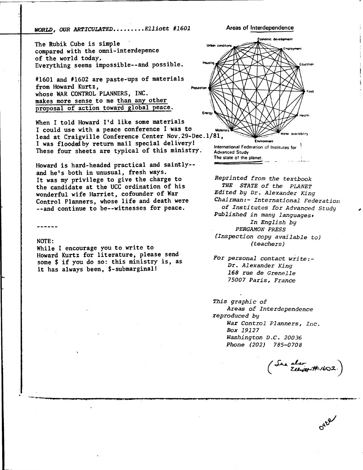**WORLD, OUR ARTICULATED........Elliott #1601** Areas of Interdependence

**The Rubik Cube is simple compared with the omni-interdepence of the world today, Everything seems impossible--and possible.** 

**#1601 and #1602 are paste-ups of materials from Howard Kurtz, whose WAR CONTROL PLANNERS, INC. makes more sense to me than any other proposal of action toward global peace.** 

**When I told Howard I'd like some materials**  I could use with a peace conference I was to **lead at Craigville Conference Center Nov.29-Dec.1/81, I was floodelby return mail special delivery! These four sheets are typical of this ministry.** 

**Howard is hard-headed practical and saintly- and he's both in unusual, fresh ways. It was my privilege to give the charge to the candidate at the UCC ordination of his wonderful wife Harriet, cofounder of War Control Planners, whose life and death were --and continue to be--witnesses for peace.** 

## **NOTE:**

**While I encourage you to write to Howard Kurtz for literature, please send some \$ if you do so: this ministry is, as it has always been, \$-submarginal!** 



Reprinted from the textbook THE STATE of the PLANET Edited by Dr. Alexander King Chairman:- International Federation of Institutes for Advanced Study Published in many languages. In English by PERGAMON PRESS (Inspection copy available to) (teachers)

For personal contact write:- Dr. Alexander King 168 rue de Grenelle 75007 Paris, France

This graphic of Areas of Interdependence reproduced by War Control Planners, Inc. Box 19127 Washington D.C. 20036 Phone (202) 785-0708

als<del>.</del><br>Ell<del>er#</del>#1602.)

**•kt'**